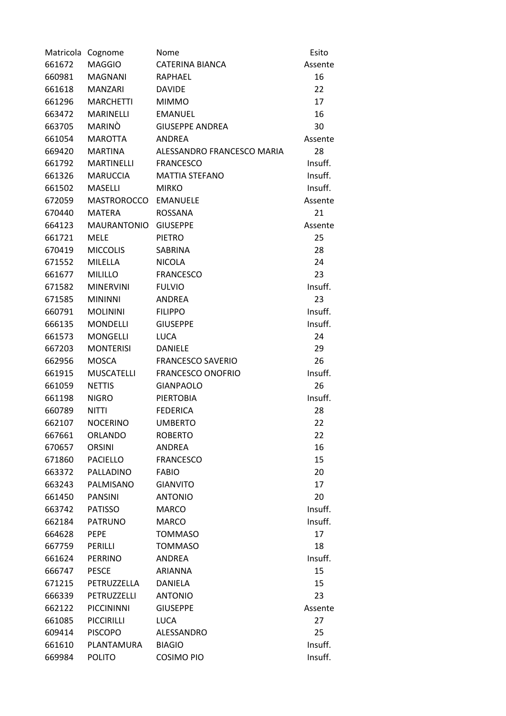| Matricola Cognome |                    | Nome                       | Esito   |
|-------------------|--------------------|----------------------------|---------|
| 661672            | <b>MAGGIO</b>      | <b>CATERINA BIANCA</b>     | Assente |
| 660981            | <b>MAGNANI</b>     | RAPHAEL                    | 16      |
| 661618            | <b>MANZARI</b>     | <b>DAVIDE</b>              | 22      |
| 661296            | <b>MARCHETTI</b>   | <b>MIMMO</b>               | 17      |
| 663472            | <b>MARINELLI</b>   | <b>EMANUEL</b>             | 16      |
| 663705            | MARINO             | <b>GIUSEPPE ANDREA</b>     | 30      |
| 661054            | <b>MAROTTA</b>     | ANDREA                     | Assente |
| 669420            | <b>MARTINA</b>     | ALESSANDRO FRANCESCO MARIA | 28      |
| 661792            | <b>MARTINELLI</b>  | <b>FRANCESCO</b>           | Insuff. |
| 661326            | <b>MARUCCIA</b>    | <b>MATTIA STEFANO</b>      | Insuff. |
| 661502            | MASELLI            | <b>MIRKO</b>               | Insuff. |
| 672059            | MASTROROCCO        | <b>EMANUELE</b>            | Assente |
| 670440            | <b>MATERA</b>      | <b>ROSSANA</b>             | 21      |
| 664123            | <b>MAURANTONIO</b> | <b>GIUSEPPE</b>            | Assente |
| 661721            | <b>MELE</b>        | <b>PIETRO</b>              | 25      |
| 670419            | <b>MICCOLIS</b>    | SABRINA                    | 28      |
| 671552            | MILELLA            | <b>NICOLA</b>              | 24      |
| 661677            | <b>MILILLO</b>     | <b>FRANCESCO</b>           | 23      |
| 671582            | <b>MINERVINI</b>   | <b>FULVIO</b>              | Insuff. |
| 671585            | <b>MININNI</b>     | <b>ANDREA</b>              | 23      |
| 660791            | <b>MOLININI</b>    | <b>FILIPPO</b>             | Insuff. |
| 666135            | <b>MONDELLI</b>    | <b>GIUSEPPE</b>            | Insuff. |
| 661573            | <b>MONGELLI</b>    | <b>LUCA</b>                | 24      |
| 667203            | <b>MONTERISI</b>   | <b>DANIELE</b>             | 29      |
| 662956            | <b>MOSCA</b>       | <b>FRANCESCO SAVERIO</b>   | 26      |
| 661915            | <b>MUSCATELLI</b>  | <b>FRANCESCO ONOFRIO</b>   | Insuff. |
| 661059            | <b>NETTIS</b>      | <b>GIANPAOLO</b>           | 26      |
| 661198            | <b>NIGRO</b>       | <b>PIERTOBIA</b>           | Insuff. |
| 660789            | <b>NITTI</b>       | <b>FEDERICA</b>            | 28      |
| 662107            | <b>NOCERINO</b>    | <b>UMBERTO</b>             | 22      |
| 667661            | ORLANDO            | <b>ROBERTO</b>             | 22      |
| 670657            | <b>ORSINI</b>      | ANDREA                     | 16      |
| 671860            | <b>PACIELLO</b>    | <b>FRANCESCO</b>           | 15      |
| 663372            | PALLADINO          | <b>FABIO</b>               | 20      |
| 663243            | PALMISANO          | <b>GIANVITO</b>            | 17      |
| 661450            | <b>PANSINI</b>     | <b>ANTONIO</b>             | 20      |
| 663742            | <b>PATISSO</b>     | <b>MARCO</b>               | Insuff. |
| 662184            | <b>PATRUNO</b>     | <b>MARCO</b>               | Insuff. |
| 664628            | <b>PEPE</b>        | <b>TOMMASO</b>             | 17      |
| 667759            | PERILLI            | <b>TOMMASO</b>             | 18      |
| 661624            | <b>PERRINO</b>     | ANDREA                     | Insuff. |
| 666747            | <b>PESCE</b>       | <b>ARIANNA</b>             | 15      |
| 671215            | PETRUZZELLA        | DANIELA                    | 15      |
| 666339            | PETRUZZELLI        | <b>ANTONIO</b>             | 23      |
| 662122            | <b>PICCININNI</b>  | <b>GIUSEPPE</b>            | Assente |
| 661085            | <b>PICCIRILLI</b>  | <b>LUCA</b>                | 27      |
| 609414            | <b>PISCOPO</b>     | ALESSANDRO                 | 25      |
| 661610            | PLANTAMURA         | <b>BIAGIO</b>              | Insuff. |
| 669984            | <b>POLITO</b>      | <b>COSIMO PIO</b>          | Insuff. |